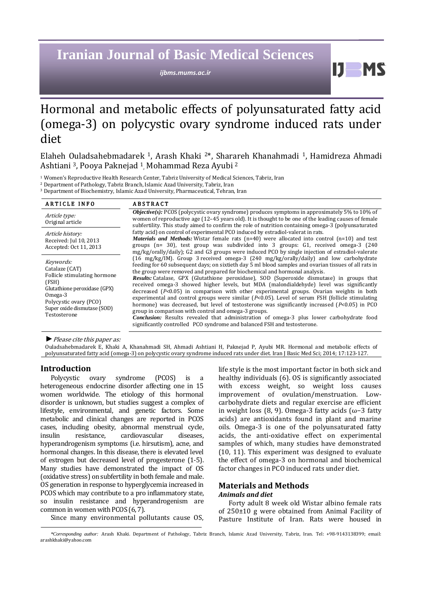# **Iranian Journal of Basic Medical Sciences**

*ijbms.mums.ac.ir*

 $IJ$  MS

# Hormonal and metabolic effects of polyunsaturated fatty acid (omega-3) on polycystic ovary syndrome induced rats under diet

Elaheh Ouladsahebmadarek <sup>1</sup>, Arash Khaki <sup>2</sup>\*, Sharareh Khanahmadi <sup>1</sup>, Hamidreza Ahmadi Ashtiani <sup>3</sup>, Pooya Paknejad <sup>1</sup> , Mohammad Reza Ayubi <sup>2</sup>

<sup>1</sup> Women's Reproductive Health Research Center, Tabriz University of Medical Sciences, Tabriz, Iran

<sup>2</sup> Department of Pathology, Tabriz Branch, Islamic Azad University, Tabriz, Iran

<sup>3</sup> Department of Biochemistry, Islamic Azad University, Pharmaceutical, Tehran, Iran

| <b>ARTICLE INFO</b>                                                                                                                                                                        | <b>ABSTRACT</b>                                                                                                                                                                                                                                                                                                                                                                                                                                                                                                                                                                                                                                                                                                                                                                                                                                                                                                                                                                                             |
|--------------------------------------------------------------------------------------------------------------------------------------------------------------------------------------------|-------------------------------------------------------------------------------------------------------------------------------------------------------------------------------------------------------------------------------------------------------------------------------------------------------------------------------------------------------------------------------------------------------------------------------------------------------------------------------------------------------------------------------------------------------------------------------------------------------------------------------------------------------------------------------------------------------------------------------------------------------------------------------------------------------------------------------------------------------------------------------------------------------------------------------------------------------------------------------------------------------------|
| Article type:<br>Original article                                                                                                                                                          | <i>Objective(s):</i> PCOS (polycystic ovary syndrome) produces symptoms in approximately 5% to 10% of<br>women of reproductive age (12-45 years old). It is thought to be one of the leading causes of female<br>subfertility. This study aimed to confirm the role of nutrition containing omega-3 (polyunsaturated                                                                                                                                                                                                                                                                                                                                                                                                                                                                                                                                                                                                                                                                                        |
| Article history:<br>Received: Jul 10, 2013<br>Accepted: Oct 11, 2013                                                                                                                       | fatty acid) on control of experimental PCO induced by estradiol-valerat in rats.<br><i>Materials and Methods:</i> Wistar female rats $(n=40)$ were allocated into control $(n=10)$ and test<br>groups (n= 30), test group was subdivided into 3 groups: G1, received omega-3 (240<br>mg/kg/orally/daily); G2 and G3 groups were induced PCO by single injection of estradiol-valerate                                                                                                                                                                                                                                                                                                                                                                                                                                                                                                                                                                                                                       |
| Keywords:<br>Catalaze (CAT)<br>Follicle stimulating hormone<br>(FSH)<br>Glutathione peroxidase (GPX)<br>$Omega-3$<br>Polycystic ovary (PCO)<br>Super oxide dismutase (SOD)<br>Testosterone | (16 mg/kg/IM). Group 3 received omega-3 (240 mg/kg/orally/daily) and low carbohydrate<br>feeding for 60 subsequent days; on sixtieth day 5 ml blood samples and ovarian tissues of all rats in<br>the group were removed and prepared for biochemical and hormonal analysis.<br>Results: Catalase, GPX (Glutathione peroxidase), SOD (Superoxide dismutase) in groups that<br>received omega-3 showed higher levels, but MDA (malondialdehyde) level was significantly<br>decreased $(P<0.05)$ in comparison with other experimental groups. Ovarian weights in both<br>experimental and control groups were similar $(P<0.05)$ . Level of serum FSH (follicle stimulating<br>hormone) was decreased, but level of testosterone was significantly increased (P<0.05) in PCO<br>group in comparison with control and omega-3 groups.<br>Conclusion: Results revealed that administration of omega-3 plus lower carbohydrate food<br>significantly controlled PCO syndrome and balanced FSH and testosterone. |

*►*Please cite this paper as:

Ouladsahebmadarek E, Khaki A, Khanahmadi SH, Ahmadi Ashtiani H, Paknejad P, Ayubi MR. Hormonal and metabolic effects of polyunsaturated fatty acid (omega-3) on polycystic ovary syndrome induced rats under diet. Iran J Basic Med Sci; 2014; 17:123-127.

### **Introduction**

Polycystic ovary syndrome (PCOS) is a heterogeneous endocrine disorder affecting one in 15 women worldwide. The etiology of this hormonal disorder is unknown, but studies suggest a complex of lifestyle, environmental, and genetic factors. Some metabolic and clinical changes are reported in PCOS cases, including obesity, abnormal menstrual cycle, insulin resistance, cardiovascular diseases, hyperandrogenism symptoms (i.e. hirsutism), acne, and hormonal changes. In this disease, there is elevated level of estrogen but decreased level of progesterone (1-5). Many studies have demonstrated the impact of OS (oxidative stress) on subfertility in both female and male. OS generation in response to hyperglycemia increased in PCOS which may contribute to a pro inflammatory state, so insulin resistance and hyperandrogenism are common in women with PCOS (6, 7).

Since many environmental pollutants cause OS,

life style is the most important factor in both sick and healthy individuals (6). OS is significantly associated with excess weight, so weight loss causes improvement of ovulation/menstruation. Lowcarbohydrate diets and regular exercise are efficient in weight loss (8, 9). Omega-3 fatty acids (ω−3 fatty acids) are antioxidants found in plant and marine oils. Omega-3 is one of the polyunsaturated fatty acids, the anti-oxidative effect on experimental samples of which, many studies have demonstrated (10, 11). This experiment was designed to evaluate the effect of omega-3 on hormonal and biochemical factor changes in PCO induced rats under diet.

# **Materials and Methods** *Animals and diet*

Forty adult 8 week old Wistar albino female rats of 250±10 g were obtained from Animal Facility of Pasture Institute of Iran. Rats were housed in

*<sup>\*</sup>Corresponding author:* Arash Khaki. Department of Pathology, Tabriz Branch, Islamic Azad University, Tabriz, Iran. Tel: +98-9143138399; email: [arashkhaki@yahoo.com](mailto:arashkhaki@yahoo.com)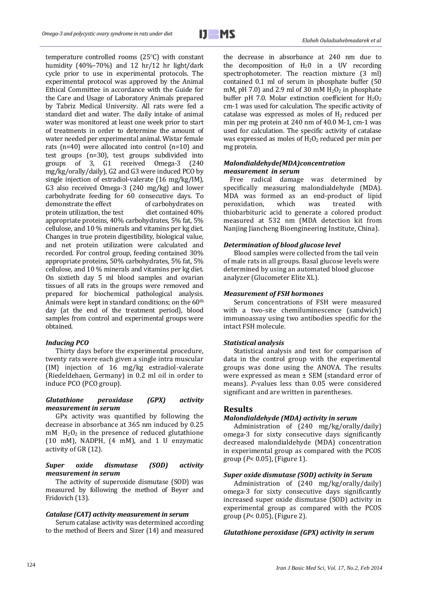$IJ$   $MS$ 

j

temperature controlled rooms (25°C) with constant humidity (40%–70%) and 12 hr/12 hr light/dark cycle prior to use in experimental protocols. The experimental protocol was approved by the Animal Ethical Committee in accordance with the Guide for the Care and Usage of Laboratory Animals prepared by Tabriz Medical University. All rats were fed a standard diet and water. The daily intake of animal water was monitored at least one week prior to start of treatments in order to determine the amount of water needed per experimental animal. Wistar female rats (n=40) were allocated into control (n=10) and test groups (n=30), test groups subdivided into groups of 3, G1 received Omega-3 (240 mg/kg/orally/daily), G2 and G3 were induced PCO by single injection of estradiol-valerate (16 mg/kg/IM), G3 also received Omega-3 (240 mg/kg) and lower carbohydrate feeding for 60 consecutive days. To demonstrate the effect protein utilization, the test diet contained 40% appropriate proteins, 40% carbohydrates, 5% fat, 5% cellulose, and 10 % minerals and vitamins per kg diet. Changes in true protein digestibility, biological value, and net protein utilization were calculated and recorded. For control group, feeding contained 30% appropriate proteins, 50% carbohydrates, 5% fat, 5% cellulose, and 10 % minerals and vitamins per kg diet. On sixtieth day 5 ml blood samples and ovarian tissues of all rats in the groups were removed and prepared for biochemical pathological analysis. Animals were kept in standard conditions; on the 60th day (at the end of the treatment period), blood samples from control and experimental groups were obtained.

#### *Inducing PCO*

Thirty days before the experimental procedure, twenty rats were each given a single intra muscular (IM) injection of 16 mg/kg estradiol-valerate (Riedeldehaen, Germany) in 0.2 ml oil in order to induce PCO (PCO group).

### *Glutathione peroxidase (GPX) activity measurement in serum*

GPx activity was quantified by following the decrease in absorbance at 365 nm induced by 0.25  $mM$  H<sub>2</sub>O<sub>2</sub> in the presence of reduced glutathione (10 mM), NADPH, (4 mM), and 1 U enzymatic activity of GR (12).

#### *Super oxide dismutase (SOD) activity measurement in serum*

The activity of superoxide dismutase (SOD) was measured by following the method of Beyer and Fridovich (13).

#### *Catalase (CAT) activity measurement in serum*

Serum catalase activity was determined according to the method of Beers and Sizer (14) and measured

the decrease in absorbance at 240 nm due to the decomposition of  $H_2O$  in a UV recording spectrophotometer. The reaction mixture (3 ml) contained 0.1 ml of serum in phosphate buffer (50 mM, pH 7.0) and 2.9 ml of 30 mM  $H<sub>2</sub>O<sub>2</sub>$  in phosphate buffer pH 7.0. Molar extinction coefficient for  $H_2O_2$ cm-1 was used for calculation. The specific activity of catalase was expressed as moles of  $H_2$  reduced per min per mg protein at 240 nm of 40.0 M-1, cm-1 was used for calculation. The specific activity of catalase was expressed as moles of  $H_2O_2$  reduced per min per mg protein.

## *Malondialdehyde(MDA)concentration measurement in serum*

 Free radical damage was determined by specifically measuring malondialdehyde (MDA). MDA was formed as an end-product of lipid peroxidation, which was treated with thiobarbituric acid to generate a colored product measured at 532 nm (MDA detection kit from Nanjing Jiancheng Bioengineering Institute, China).

# *Determination of blood glucose level*

Blood samples were collected from the tail vein of male rats in all groups. Basal glucose levels were determined by using an automated blood glucose analyzer (Glucometer Elite XL).

# *Measurement of FSH hormones*

Serum concentrations of FSH were measured with a two-site chemiluminescence (sandwich) immunoassay using two antibodies specific for the intact FSH molecule.

# *Statistical analysis*

Statistical analysis and test for comparison of data in the control group with the experimental groups was done using the ANOVA. The results were expressed as mean ± SEM (standard error of means). *P*-values less than 0.05 were considered significant and are written in parentheses.

# **Results**

# *Malondialdehyde (MDA) activity in serum*

Administration of (240 mg/kg/orally/daily) omega-3 for sixty consecutive days significantly decreased malondialdehyde (MDA) concentration in experimental group as compared with the PCOS group (*P*< 0.05), (Figure 1).

# *Super oxide dismutase (SOD) activity in Serum*

Administration of (240 mg/kg/orally/daily) omega-3 for sixty consecutive days significantly increased super oxide dismutase (SOD) activity in experimental group as compared with the PCOS group (*P*< 0.05), (Figure 2).

# *Glutathione peroxidase (GPX) activity in serum*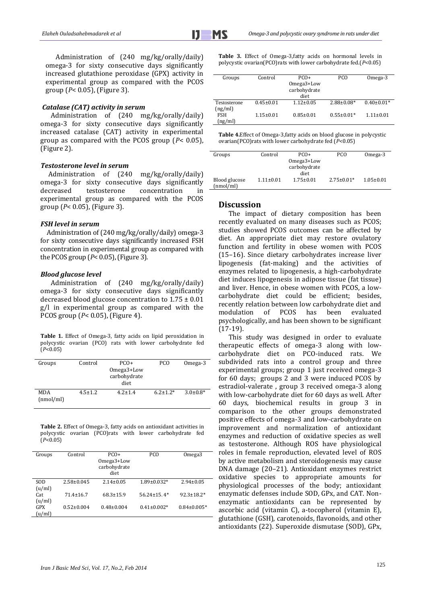Administration of (240 mg/kg/orally/daily) omega-3 for sixty consecutive days significantly increased glutathione peroxidase (GPX) activity in experimental group as compared with the PCOS group (*P*< 0.05), (Figure 3).

#### *Catalase (CAT) activity in serum*

Administration of (240 mg/kg/orally/daily) omega-3 for sixty consecutive days significantly increased catalase (CAT) activity in experimental group as compared with the PCOS group (*P*< 0.05), (Figure 2).

#### *Testosterone level in serum*

 Administration of (240 mg/kg/orally/daily) omega-3 for sixty consecutive days significantly decreased testosterone concentration in experimental group as compared with the PCOS group (*P*< 0.05), (Figure 3).

#### *FSH level in serum*

 Administration of (240 mg/kg/orally/daily) omega-3 for sixty consecutive days significantly increased FSH concentration in experimental group as compared with the PCOS group (*P*< 0.05), (Figure 3).

#### *Blood glucose level*

Administration of (240 mg/kg/orally/daily) omega-3 for sixty consecutive days significantly decreased blood glucose concentration to 1.75 ± 0.01 g/l in experimental group as compared with the PCOS group (*P*< 0.05), (Figure 4).

**Table 1.** Effect of Omega-3, fatty acids on lipid peroxidation in polycystic ovarian (PCO) rats with lower carbohydrate fed (*P*<0.05)

| Groups                  | Control       | $PCO+$<br>Omega3+Low<br>carbohydrate<br>diet | PCO             | Omega-3         |
|-------------------------|---------------|----------------------------------------------|-----------------|-----------------|
| <b>MDA</b><br>(nmol/ml) | $4.5 \pm 1.2$ | $4.2 + 1.4$                                  | $6.2 \pm 1.2^*$ | $3.0 \pm 0.8^*$ |

**Table 2.** Effect of Omega-3, fatty acids on antioxidant activities in polycystic ovarian (PCO)rats with lower carbohydrate fed (*P*<0.05)

| Groups | Control          | $PCO+$<br>Omega3+Low<br>carbohydrate<br>diet | PCO               | Omega <sub>3</sub> |
|--------|------------------|----------------------------------------------|-------------------|--------------------|
| SOD    | $2.58 \pm 0.045$ | $2.14 \pm 0.05$                              | $1.89 \pm 0.032*$ | $2.94 \pm 0.05$    |
| (u/ml) |                  |                                              |                   |                    |
| Cat    | $71.4 \pm 16.7$  | $68.3 \pm 15.9$                              | $56.24 \pm 15.4*$ | $92.3 \pm 18.2$ *  |
| (u/ml) |                  |                                              |                   |                    |
| GPX    | $0.52 \pm 0.004$ | $0.48 \pm 0.004$                             | $0.41 \pm 0.002*$ | $0.84 \pm 0.005*$  |
| (u/ml) |                  |                                              |                   |                    |

**Table 3.** Effect of Omega-3,fatty acids on hormonal levels in polycystic ovarian(PCO)rats with lower carbohydrate fed.(*P*<0.05)

| Groups       | Control         | $PCO+$          | PCO              | Omega-3         |
|--------------|-----------------|-----------------|------------------|-----------------|
|              |                 | Omega3+Low      |                  |                 |
|              |                 |                 |                  |                 |
|              |                 | carbohydrate    |                  |                 |
|              |                 | diet            |                  |                 |
|              |                 |                 |                  |                 |
| Testosterone | $0.45 \pm 0.01$ | $1.12 \pm 0.05$ | $2.88 \pm 0.08*$ | $0.40\pm0.01*$  |
| (ng/ml)      |                 |                 |                  |                 |
|              |                 |                 |                  |                 |
| <b>FSH</b>   | $1.15 \pm 0.01$ | $0.85 \pm 0.01$ | $0.55 \pm 0.01*$ | $1.11 \pm 0.01$ |
| (ng/ml)      |                 |                 |                  |                 |
|              |                 |                 |                  |                 |

**Table 4.**Effect of Omega-3,fatty acids on blood glucose in polycystic ovarian(PCO)rats with lower carbohydrate fed (*P*<0.05)

| Groups        | Control         | $PCO+$          | PCO              | Omega-3         |
|---------------|-----------------|-----------------|------------------|-----------------|
|               |                 | Omega3+Low      |                  |                 |
|               |                 | carbohydrate    |                  |                 |
|               |                 | diet            |                  |                 |
| Blood glucose | $1.11 \pm 0.01$ | $1.75 \pm 0.01$ | $2.75 \pm 0.01*$ | $1.05 \pm 0.01$ |
| (nmol/ml)     |                 |                 |                  |                 |

#### **Discussion**

The impact of dietary composition has been recently evaluated on many diseases such as PCOS; studies showed PCOS outcomes can be affected by diet. An appropriate diet may restore ovulatory function and fertility in obese women with PCOS (15–16). Since dietary carbohydrates increase liver lipogenesis (fat-making) and the activities of enzymes related to lipogenesis, a high-carbohydrate diet induces lipogenesis in adipose tissue (fat tissue) and liver. Hence, in obese women with PCOS, a lowcarbohydrate diet could be efficient; besides, recently relation between low carbohydrate diet and modulation of PCOS has been evaluated psychologically, and has been shown to be significant (17-19).

This study was designed in order to evaluate therapeutic effects of omega-3 along with lowcarbohydrate diet on PCO-induced rats. We subdivided rats into a control group and three experimental groups; group 1 just received omega-3 for 60 days; groups 2 and 3 were induced PCOS by estradiol-valerate , group 3 received omega-3 along with low-carbohydrate diet for 60 days as well. After 60 days, biochemical results in group 3 in comparison to the other groups demonstrated positive effects of omega-3 and low-carbohydrate on improvement and normalization of antioxidant enzymes and reduction of oxidative species as well as testosterone. Although ROS have physiological roles in female reproduction, elevated level of ROS by active metabolism and steroidogenesis may cause DNA damage (20–21). Antioxidant enzymes restrict oxidative species to appropriate amounts for physiological processes of the body; antioxidant enzymatic defenses include SOD, GPx, and CAT. Nonenzymatic antioxidants can be represented by ascorbic acid (vitamin C), a-tocopherol (vitamin E), glutathione (GSH), carotenoids, flavonoids, and other antioxidants (22). Superoxide dismutase (SOD), GPx,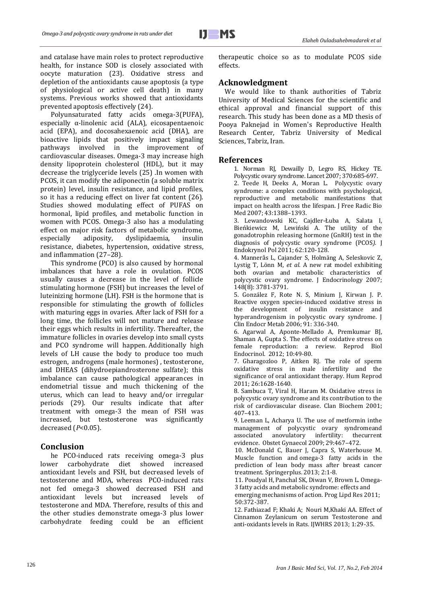

j

and catalase have main roles to protect reproductive health, for instance SOD is closely associated with oocyte maturation (23). Oxidative stress and depletion of the antioxidants cause apoptosis (a type of physiological or active cell death) in many systems. Previous works showed that antioxidants prevented apoptosis effectively (24).

Polyunsaturated fatty acids omega-3(PUFA), especially α-linolenic acid (ALA), eicosapentaenoic acid (EPA), and docosahexaenoic acid (DHA), are bioactive lipids that positively impact signaling pathways involved in the improvement of cardiovascular diseases. Omega-3 may increase high density lipoprotein cholesterol (HDL), but it may decrease the triglyceride levels (25) .In women with PCOS, it can modify the adiponectin (a soluble matrix protein) level, insulin resistance, and lipid profiles, so it has a reducing effect on liver fat content (26). Studies showed modulating effect of PUFAS on hormonal, lipid profiles, and metabolic function in women with PCOS. Omega-3 also has a modulating effect on major risk factors of metabolic syndrome, especially adiposity, dyslipidaemia, insulin resistance, diabetes, hypertension, oxidative stress, and inflammation (27–28).

This syndrome (PCO) is also caused by hormonal imbalances that have a role in ovulation. PCOS usually causes a decrease in the level of follicle stimulating hormone (FSH) but increases the level of luteinizing hormone (LH). FSH is the hormone that is responsible for stimulating the growth of follicles with maturing eggs in ovaries. After lack of FSH for a long time, the follicles will not mature and release their eggs which results in infertility. Thereafter, the immature follicles in ovaries develop into small cysts and PCO syndrome will happen. Additionally high levels of LH cause the body to produce too much estrogen, androgens (male hormones) , testosterone, and DHEAS (dihydroepiandrosterone sulfate); this imbalance can cause pathological appearances in endometrial tissue and much thickening of the uterus, which can lead to heavy and/or irregular periods (29). Our results indicate that after treatment with omega-3 the mean of FSH was increased, but testosterone was significantly decreased (*P*<0.05).

# **Conclusion**

he PCO-induced rats receiving omega-3 plus lower carbohydrate diet showed increased antioxidant levels and FSH, but decreased levels of testosterone and MDA, whereas PCO-induced rats not fed omega-3 showed decreased FSH and antioxidant levels but increased levels of testosterone and MDA. Therefore, results of this and the other studies demonstrate omega-3 plus lower carbohydrate feeding could be an efficient therapeutic choice so as to modulate PCOS side effects.

### **Acknowledgment**

 We would like to thank authorities of Tabriz University of Medical Sciences for the scientific and ethical approval and financial support of this research. This study has been done as a MD thesis of Pooya Paknejad in Women's Reproductive Health Research Center, Tabriz University of Medical Sciences, Tabriz, Iran.

#### **References**

1. Norman RJ, Dewailly D, Legro RS, Hickey TE. Polycystic ovary syndrome. Lancet 2007; 370:685-697. 2. Teede H, Deeks A, Moran L. Polycystic ovary syndrome: a complex conditions with psychological, reproductive and metabolic manifestations that impact on health across the lifespan. J Free Radic Bio Med 2007; 43:1388–1393.

3. Lewandowski KC, Cajdler-Łuba A, Salata I, Bieńkiewicz M, Lewiński A. The utility of the gonadotrophin releasing hormone (GnRH) test in the diagnosis of polycystic ovary syndrome (PCOS*).* J Endokrynol Pol 2011; 62:120-128.

4. Mannerås L, Cajander S, Holmäng A, Seleskovic Z, Lystig T, Lönn M, *et al*. A new rat model exhibiting both ovarian and metabolic characteristics of polycystic ovary syndrome. J Endocrinology 2007; 148(8): 3781-3791.

5. González F, Rote N. S, Minium J, Kirwan J. P. Reactive oxygen species-induced oxidative stress in the development of insulin resistance and hyperandrogenism in polycystic ovary syndrome. J Clin Endocr Metab 2006; 91: 336-340.

6. Agarwal A, Aponte-Mellado A, Premkumar BJ, Shaman A, Gupta S. The effects of oxidative stress on female reproduction: a review. Reprod Biol Endocrinol. 2012; 10:49-80.

7. Gharagozloo P, Aitken RJ. The role of sperm oxidative stress in male infertility and the significance of oral antioxidant therapy. Hum Reprod 2011; 26:1628-1640.

8. Sambuca T, Viral H, Haram M. Oxidative stress in polycystic ovary syndrome and its contribution to the risk of cardiovascular disease. Clan Biochem 2001; 407–413.

9. Leeman L, Acharya U. The use of metformin inthe management of polycystic ovary syndromeand<br>associated anovulatory infertility: the<br>current infertility: thecurrent evidence. Obstet Gynaecol 2009; 29:467–472.

10. McDonald C, Bauer J, Capra S, Waterhouse M. [Muscle function and](http://www.ncbi.nlm.nih.gov/pubmed/24404435) omega-3 fatty acids in the [prediction of lean body mass after breast cancer](http://www.ncbi.nlm.nih.gov/pubmed/24404435)  [treatment.](http://www.ncbi.nlm.nih.gov/pubmed/24404435) Springerplus. 2013; 2:1-8.

11. Poudyal H, Panchal SK, Diwan V, Brown L. Omega-3 fatty acids and metabolic syndrome: effects and

emerging mechanisms of action. Prog Lipd Res 2011; 50:372-387.

12[. Fathiazad](http://www.ijwhr.net/?_action=article&au=25961&_au=Fatemeh++Fathiazad) F; Khaki A; [Nouri](http://www.ijwhr.net/?_action=article&au=25094&_au=Mohammad++Nouri) M,Khaki AA. Effect of Cinnamon Zeylanicum on serum Testosterone and anti-oxidants levels in Rats. IJWHRS 2013; 1:29-35.